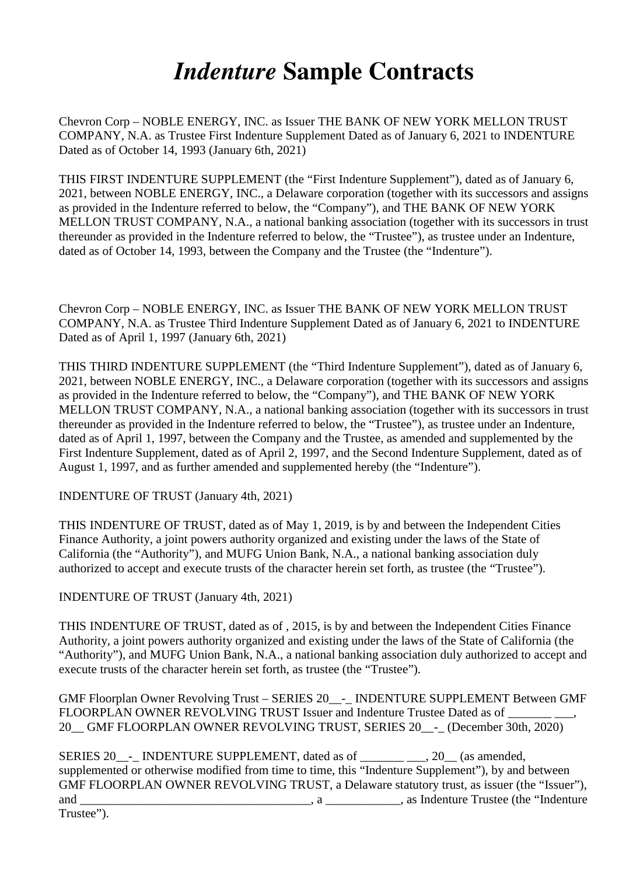## *Indenture* **Sample Contracts**

Chevron Corp – NOBLE ENERGY, INC. as Issuer THE BANK OF NEW YORK MELLON TRUST COMPANY, N.A. as Trustee First Indenture Supplement Dated as of January 6, 2021 to INDENTURE Dated as of October 14, 1993 (January 6th, 2021)

THIS FIRST INDENTURE SUPPLEMENT (the "First Indenture Supplement"), dated as of January 6, 2021, between NOBLE ENERGY, INC., a Delaware corporation (together with its successors and assigns as provided in the Indenture referred to below, the "Company"), and THE BANK OF NEW YORK MELLON TRUST COMPANY, N.A., a national banking association (together with its successors in trust thereunder as provided in the Indenture referred to below, the "Trustee"), as trustee under an Indenture, dated as of October 14, 1993, between the Company and the Trustee (the "Indenture").

Chevron Corp – NOBLE ENERGY, INC. as Issuer THE BANK OF NEW YORK MELLON TRUST COMPANY, N.A. as Trustee Third Indenture Supplement Dated as of January 6, 2021 to INDENTURE Dated as of April 1, 1997 (January 6th, 2021)

THIS THIRD INDENTURE SUPPLEMENT (the "Third Indenture Supplement"), dated as of January 6, 2021, between NOBLE ENERGY, INC., a Delaware corporation (together with its successors and assigns as provided in the Indenture referred to below, the "Company"), and THE BANK OF NEW YORK MELLON TRUST COMPANY, N.A., a national banking association (together with its successors in trust thereunder as provided in the Indenture referred to below, the "Trustee"), as trustee under an Indenture, dated as of April 1, 1997, between the Company and the Trustee, as amended and supplemented by the First Indenture Supplement, dated as of April 2, 1997, and the Second Indenture Supplement, dated as of August 1, 1997, and as further amended and supplemented hereby (the "Indenture").

INDENTURE OF TRUST (January 4th, 2021)

THIS INDENTURE OF TRUST, dated as of May 1, 2019, is by and between the Independent Cities Finance Authority, a joint powers authority organized and existing under the laws of the State of California (the "Authority"), and MUFG Union Bank, N.A., a national banking association duly authorized to accept and execute trusts of the character herein set forth, as trustee (the "Trustee").

INDENTURE OF TRUST (January 4th, 2021)

THIS INDENTURE OF TRUST, dated as of , 2015, is by and between the Independent Cities Finance Authority, a joint powers authority organized and existing under the laws of the State of California (the "Authority"), and MUFG Union Bank, N.A., a national banking association duly authorized to accept and execute trusts of the character herein set forth, as trustee (the "Trustee").

GMF Floorplan Owner Revolving Trust – SERIES 20\_\_-\_ INDENTURE SUPPLEMENT Between GMF FLOORPLAN OWNER REVOLVING TRUST Issuer and Indenture Trustee Dated as of 20 GMF FLOORPLAN OWNER REVOLVING TRUST, SERIES 20 - (December 30th, 2020)

SERIES 20 - INDENTURE SUPPLEMENT, dated as of  $\qquad \qquad$ , 20 (as amended, supplemented or otherwise modified from time to time, this "Indenture Supplement"), by and between GMF FLOORPLAN OWNER REVOLVING TRUST, a Delaware statutory trust, as issuer (the "Issuer"), and \_\_\_\_\_\_\_\_\_\_\_\_\_\_\_\_\_\_\_\_\_\_\_\_\_\_\_\_\_\_\_\_\_\_\_\_\_, a \_\_\_\_\_\_\_\_\_\_\_\_, as Indenture Trustee (the "Indenture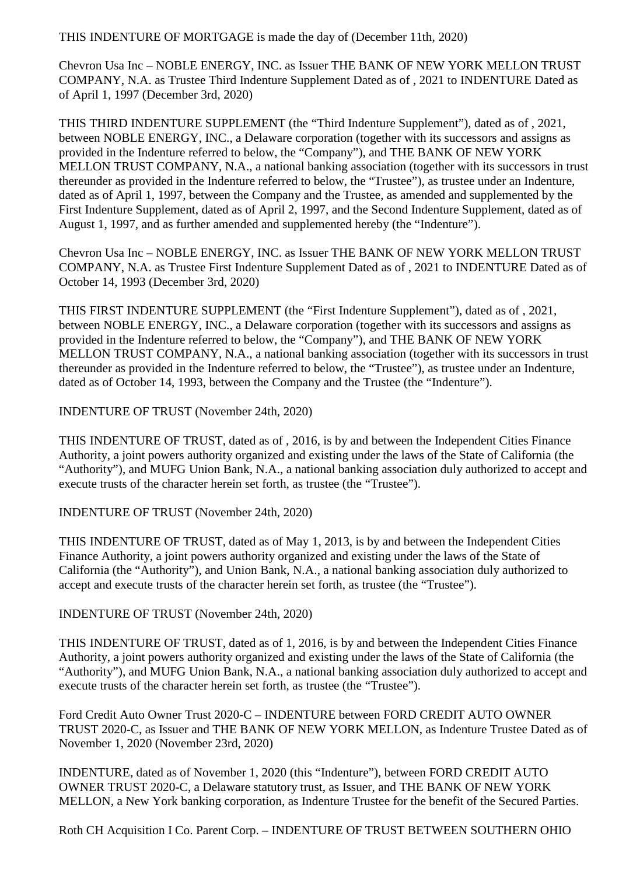THIS INDENTURE OF MORTGAGE is made the day of (December 11th, 2020)

Chevron Usa Inc – NOBLE ENERGY, INC. as Issuer THE BANK OF NEW YORK MELLON TRUST COMPANY, N.A. as Trustee Third Indenture Supplement Dated as of , 2021 to INDENTURE Dated as of April 1, 1997 (December 3rd, 2020)

THIS THIRD INDENTURE SUPPLEMENT (the "Third Indenture Supplement"), dated as of , 2021, between NOBLE ENERGY, INC., a Delaware corporation (together with its successors and assigns as provided in the Indenture referred to below, the "Company"), and THE BANK OF NEW YORK MELLON TRUST COMPANY, N.A., a national banking association (together with its successors in trust thereunder as provided in the Indenture referred to below, the "Trustee"), as trustee under an Indenture, dated as of April 1, 1997, between the Company and the Trustee, as amended and supplemented by the First Indenture Supplement, dated as of April 2, 1997, and the Second Indenture Supplement, dated as of August 1, 1997, and as further amended and supplemented hereby (the "Indenture").

Chevron Usa Inc – NOBLE ENERGY, INC. as Issuer THE BANK OF NEW YORK MELLON TRUST COMPANY, N.A. as Trustee First Indenture Supplement Dated as of , 2021 to INDENTURE Dated as of October 14, 1993 (December 3rd, 2020)

THIS FIRST INDENTURE SUPPLEMENT (the "First Indenture Supplement"), dated as of , 2021, between NOBLE ENERGY, INC., a Delaware corporation (together with its successors and assigns as provided in the Indenture referred to below, the "Company"), and THE BANK OF NEW YORK MELLON TRUST COMPANY, N.A., a national banking association (together with its successors in trust thereunder as provided in the Indenture referred to below, the "Trustee"), as trustee under an Indenture, dated as of October 14, 1993, between the Company and the Trustee (the "Indenture").

INDENTURE OF TRUST (November 24th, 2020)

THIS INDENTURE OF TRUST, dated as of , 2016, is by and between the Independent Cities Finance Authority, a joint powers authority organized and existing under the laws of the State of California (the "Authority"), and MUFG Union Bank, N.A., a national banking association duly authorized to accept and execute trusts of the character herein set forth, as trustee (the "Trustee").

INDENTURE OF TRUST (November 24th, 2020)

THIS INDENTURE OF TRUST, dated as of May 1, 2013, is by and between the Independent Cities Finance Authority, a joint powers authority organized and existing under the laws of the State of California (the "Authority"), and Union Bank, N.A., a national banking association duly authorized to accept and execute trusts of the character herein set forth, as trustee (the "Trustee").

INDENTURE OF TRUST (November 24th, 2020)

THIS INDENTURE OF TRUST, dated as of 1, 2016, is by and between the Independent Cities Finance Authority, a joint powers authority organized and existing under the laws of the State of California (the "Authority"), and MUFG Union Bank, N.A., a national banking association duly authorized to accept and execute trusts of the character herein set forth, as trustee (the "Trustee").

Ford Credit Auto Owner Trust 2020-C – INDENTURE between FORD CREDIT AUTO OWNER TRUST 2020-C, as Issuer and THE BANK OF NEW YORK MELLON, as Indenture Trustee Dated as of November 1, 2020 (November 23rd, 2020)

INDENTURE, dated as of November 1, 2020 (this "Indenture"), between FORD CREDIT AUTO OWNER TRUST 2020-C, a Delaware statutory trust, as Issuer, and THE BANK OF NEW YORK MELLON, a New York banking corporation, as Indenture Trustee for the benefit of the Secured Parties.

Roth CH Acquisition I Co. Parent Corp. – INDENTURE OF TRUST BETWEEN SOUTHERN OHIO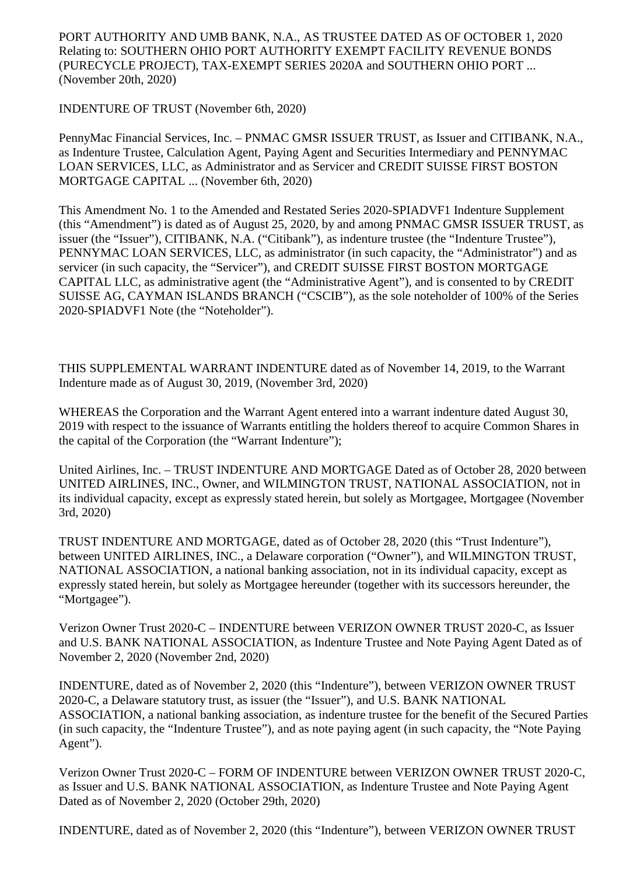PORT AUTHORITY AND UMB BANK, N.A., AS TRUSTEE DATED AS OF OCTOBER 1, 2020 Relating to: SOUTHERN OHIO PORT AUTHORITY EXEMPT FACILITY REVENUE BONDS (PURECYCLE PROJECT), TAX-EXEMPT SERIES 2020A and SOUTHERN OHIO PORT ... (November 20th, 2020)

INDENTURE OF TRUST (November 6th, 2020)

PennyMac Financial Services, Inc. – PNMAC GMSR ISSUER TRUST, as Issuer and CITIBANK, N.A., as Indenture Trustee, Calculation Agent, Paying Agent and Securities Intermediary and PENNYMAC LOAN SERVICES, LLC, as Administrator and as Servicer and CREDIT SUISSE FIRST BOSTON MORTGAGE CAPITAL ... (November 6th, 2020)

This Amendment No. 1 to the Amended and Restated Series 2020-SPIADVF1 Indenture Supplement (this "Amendment") is dated as of August 25, 2020, by and among PNMAC GMSR ISSUER TRUST, as issuer (the "Issuer"), CITIBANK, N.A. ("Citibank"), as indenture trustee (the "Indenture Trustee"), PENNYMAC LOAN SERVICES, LLC, as administrator (in such capacity, the "Administrator") and as servicer (in such capacity, the "Servicer"), and CREDIT SUISSE FIRST BOSTON MORTGAGE CAPITAL LLC, as administrative agent (the "Administrative Agent"), and is consented to by CREDIT SUISSE AG, CAYMAN ISLANDS BRANCH ("CSCIB"), as the sole noteholder of 100% of the Series 2020-SPIADVF1 Note (the "Noteholder").

THIS SUPPLEMENTAL WARRANT INDENTURE dated as of November 14, 2019, to the Warrant Indenture made as of August 30, 2019, (November 3rd, 2020)

WHEREAS the Corporation and the Warrant Agent entered into a warrant indenture dated August 30, 2019 with respect to the issuance of Warrants entitling the holders thereof to acquire Common Shares in the capital of the Corporation (the "Warrant Indenture");

United Airlines, Inc. – TRUST INDENTURE AND MORTGAGE Dated as of October 28, 2020 between UNITED AIRLINES, INC., Owner, and WILMINGTON TRUST, NATIONAL ASSOCIATION, not in its individual capacity, except as expressly stated herein, but solely as Mortgagee, Mortgagee (November 3rd, 2020)

TRUST INDENTURE AND MORTGAGE, dated as of October 28, 2020 (this "Trust Indenture"), between UNITED AIRLINES, INC., a Delaware corporation ("Owner"), and WILMINGTON TRUST, NATIONAL ASSOCIATION, a national banking association, not in its individual capacity, except as expressly stated herein, but solely as Mortgagee hereunder (together with its successors hereunder, the "Mortgagee").

Verizon Owner Trust 2020-C – INDENTURE between VERIZON OWNER TRUST 2020-C, as Issuer and U.S. BANK NATIONAL ASSOCIATION, as Indenture Trustee and Note Paying Agent Dated as of November 2, 2020 (November 2nd, 2020)

INDENTURE, dated as of November 2, 2020 (this "Indenture"), between VERIZON OWNER TRUST 2020-C, a Delaware statutory trust, as issuer (the "Issuer"), and U.S. BANK NATIONAL ASSOCIATION, a national banking association, as indenture trustee for the benefit of the Secured Parties (in such capacity, the "Indenture Trustee"), and as note paying agent (in such capacity, the "Note Paying Agent").

Verizon Owner Trust 2020-C – FORM OF INDENTURE between VERIZON OWNER TRUST 2020-C, as Issuer and U.S. BANK NATIONAL ASSOCIATION, as Indenture Trustee and Note Paying Agent Dated as of November 2, 2020 (October 29th, 2020)

INDENTURE, dated as of November 2, 2020 (this "Indenture"), between VERIZON OWNER TRUST